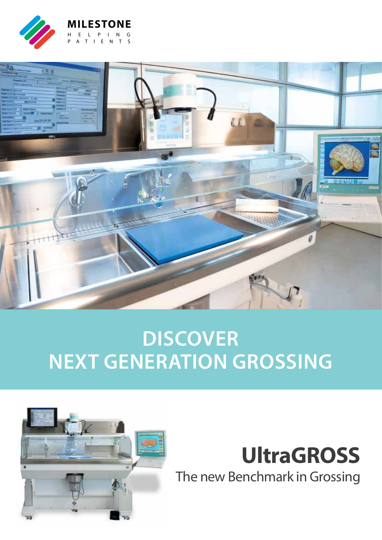



### **DISCOVER NEXT GENERATION GROSSING**



### **UltraGROSS** The new Benchmark in Grossing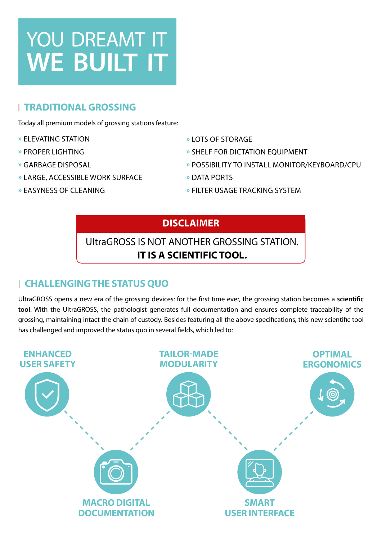## YOU DREAMT IT **WE BUILT IT**

### **TRADITIONAL GROSSING**

Today all premium models of grossing stations feature:

- **»** ELEVATING STATION
- **»** PROPER LIGHTING
- **»** GARBAGE DISPOSAL
- **»** LARGE, ACCESSIBLE WORK SURFACE
- **»** LOTS OF STORAGE **»** SHELF FOR DICTATION EQUIPMENT
	- **»** POSSIBILITY TO INSTALL MONITOR/KEYBOARD/CPU
- **»** DATA PORTS

**»** EASYNESS OF CLEANING

**»** FILTER USAGE TRACKING SYSTEM

### **DISCLAIMER**

### UltraGROSS IS NOT ANOTHER GROSSING STATION. **IT IS A SCIENTIFIC TOOL.**

### **CHALLENGING THE STATUS QUO**

UltraGROSS opens a new era of the grossing devices: for the first time ever, the grossing station becomes a **scientific tool**. With the UltraGROSS, the pathologist generates full documentation and ensures complete traceability of the grossing, maintaining intact the chain of custody. Besides featuring all the above specifications, this new scientific tool has challenged and improved the status quo in several fields, which led to:

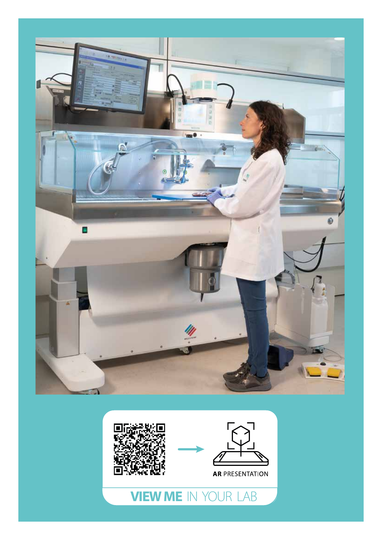



**VIEW ME** IN YOUR LAB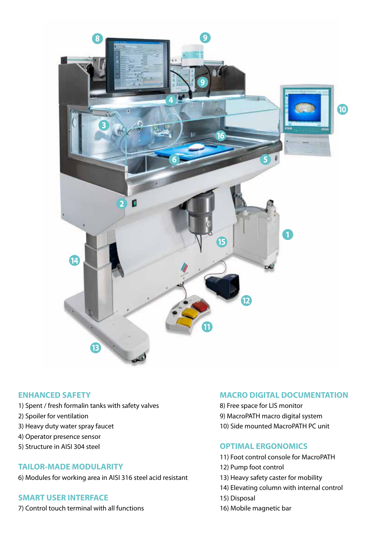

#### **ENHANCED SAFETY**

- 1) Spent / fresh formalin tanks with safety valves
- 2) Spoiler for ventilation
- 3) Heavy duty water spray faucet
- 4) Operator presence sensor
- 5) Structure in AISI 304 steel

#### **TAILOR-MADE MODULARITY**

6) Modules for working area in AISI 316 steel acid resistant

### **SMART USER INTERFACE**

7) Control touch terminal with all functions

### **MACRO DIGITAL DOCUMENTATION**

- 8) Free space for LIS monitor 9) MacroPATH macro digital system
- 10) Side mounted MacroPATH PC unit

### **OPTIMAL ERGONOMICS**

- 11) Foot control console for MacroPATH
- 12) Pump foot control
- 13) Heavy safety caster for mobility
- 14) Elevating column with internal control
- 15) Disposal
- 16) Mobile magnetic bar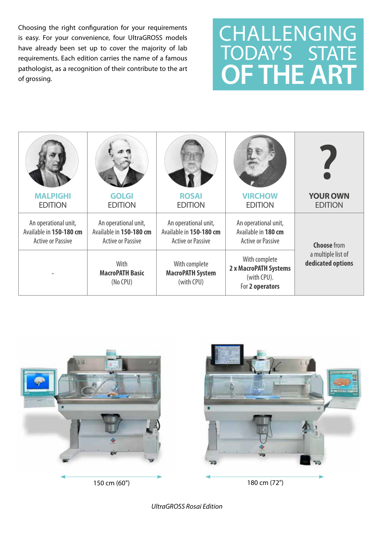Choosing the right configuration for your requirements is easy. For your convenience, four UltraGROSS models have already been set up to cover the majority of lab requirements. Each edition carries the name of a famous pathologist, as a recognition of their contribute to the art of grossing.

## **OF THE ART** CHALLENGING TODAY'S STATE

| <b>MALPIGHI</b><br><b>EDITION</b>                                           | <b>GOLGI</b><br><b>EDITION</b>                                              | <b>ROSAI</b><br><b>EDITION</b>                                              | <b>VIRCHOW</b><br><b>EDITION</b>                                         | <b>YOUR OWN</b><br><b>EDITION</b>                             |
|-----------------------------------------------------------------------------|-----------------------------------------------------------------------------|-----------------------------------------------------------------------------|--------------------------------------------------------------------------|---------------------------------------------------------------|
|                                                                             |                                                                             |                                                                             |                                                                          |                                                               |
| An operational unit,<br>Available in 150-180 cm<br><b>Active or Passive</b> | An operational unit,<br>Available in 150-180 cm<br><b>Active or Passive</b> | An operational unit,<br>Available in 150-180 cm<br><b>Active or Passive</b> | An operational unit,<br>Available in 180 cm<br><b>Active or Passive</b>  | <b>Choose</b> from<br>a multiple list of<br>dedicated options |
|                                                                             | With<br><b>MacroPATH Basic</b><br>(No CPU)                                  | With complete<br><b>MacroPATH System</b><br>(with CPU)                      | With complete<br>2 x MacroPATH Systems<br>(with CPU).<br>For 2 operators |                                                               |





*UltraGROSS Rosai Edition*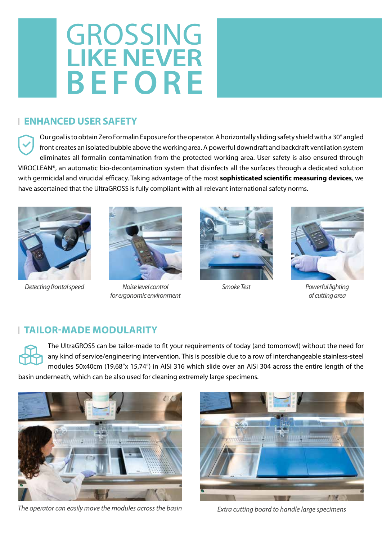# **LIKE NEVER** GROSSING **BEFORE**

### **ENHANCED USER SAFETY**

Our goal is to obtain Zero Formalin Exposure for the operator. A horizontally sliding safety shield with a 30° angled front creates an isolated bubble above the working area. A powerful downdraft and backdraft ventilation system eliminates all formalin contamination from the protected working area. User safety is also ensured through VIROCLEAN®, an automatic bio-decontamination system that disinfects all the surfaces through a dedicated solution with germicidal and virucidal efficacy. Taking advantage of the most **sophisticated scientific measuring devices**, we have ascertained that the UltraGROSS is fully compliant with all relevant international safety norms.





*Detecting frontal speed Noise level control for ergonomic environment*





*Smoke Test Powerful lighting of cutting area*

### **TAILOR-MADE MODULARITY**

The UltraGROSS can be tailor-made to fit your requirements of today (and tomorrow!) without the need for any kind of service/engineering intervention. This is possible due to a row of interchangeable stainless-steel modules 50x40cm (19,68"x 15,74") in AISI 316 which slide over an AISI 304 across the entire length of the basin underneath, which can be also used for cleaning extremely large specimens.



*The operator can easily move the modules across the basin Extra cutting board to handle large specimens*

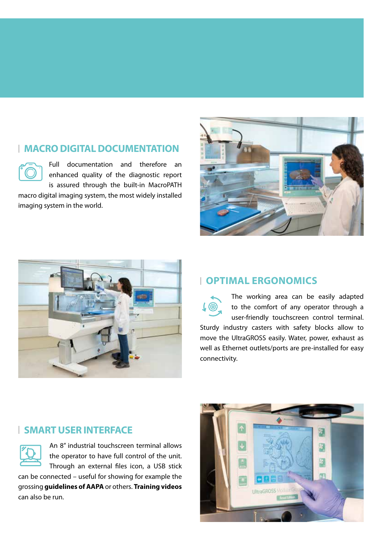### **MACRO DIGITAL DOCUMENTATION**

Full documentation and therefore an enhanced quality of the diagnostic report is assured through the built-in MacroPATH

macro digital imaging system, the most widely installed imaging system in the world.





### **OPTIMAL ERGONOMICS**

The working area can be easily adapted to the comfort of any operator through a user-friendly touchscreen control terminal. Sturdy industry casters with safety blocks allow to move the UltraGROSS easily. Water, power, exhaust as well as Ethernet outlets/ports are pre-installed for easy connectivity.

### **SMART USER INTERFACE**

An 8" industrial touchscreen terminal allows the operator to have full control of the unit. Through an external files icon, a USB stick

can be connected – useful for showing for example the grossing **guidelines of AAPA** or others. **Training videos** can also be run.